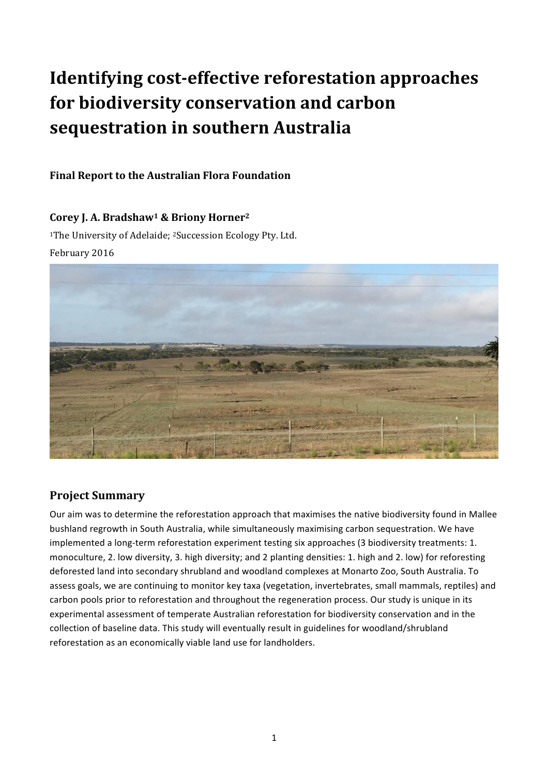# **Identifying cost-effective reforestation approaches** for biodiversity conservation and carbon **sequestration in southern Australia**

## **Final Report to the Australian Flora Foundation**

## Corey J. A. Bradshaw<sup>1</sup> & Briony Horner<sup>2</sup>

<sup>1</sup>The University of Adelaide; <sup>2</sup>Succession Ecology Pty. Ltd. February 2016



# **Project Summary**

Our aim was to determine the reforestation approach that maximises the native biodiversity found in Mallee bushland regrowth in South Australia, while simultaneously maximising carbon sequestration. We have implemented a long-term reforestation experiment testing six approaches (3 biodiversity treatments: 1. monoculture, 2. low diversity, 3. high diversity; and 2 planting densities: 1. high and 2. low) for reforesting deforested land into secondary shrubland and woodland complexes at Monarto Zoo, South Australia. To assess goals, we are continuing to monitor key taxa (vegetation, invertebrates, small mammals, reptiles) and carbon pools prior to reforestation and throughout the regeneration process. Our study is unique in its experimental assessment of temperate Australian reforestation for biodiversity conservation and in the collection of baseline data. This study will eventually result in guidelines for woodland/shrubland reforestation as an economically viable land use for landholders.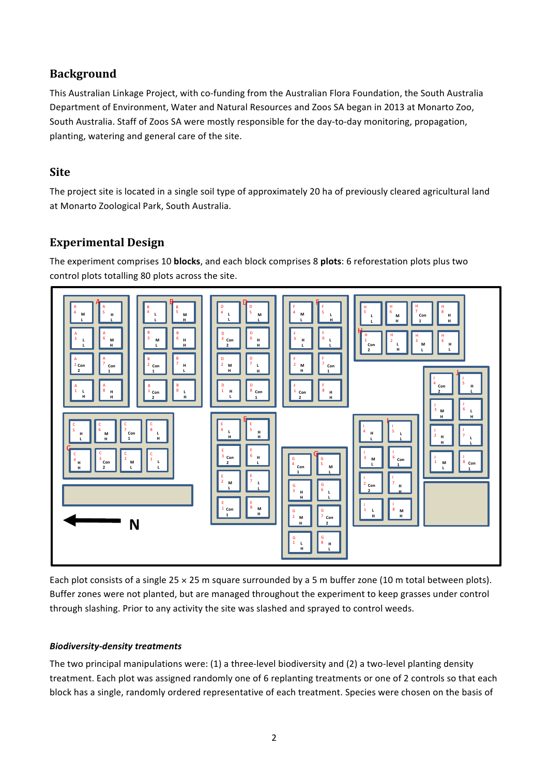# **Background**

This Australian Linkage Project, with co-funding from the Australian Flora Foundation, the South Australia Department of Environment, Water and Natural Resources and Zoos SA began in 2013 at Monarto Zoo, South Australia. Staff of Zoos SA were mostly responsible for the day-to-day monitoring, propagation, planting, watering and general care of the site.

## **Site**

The project site is located in a single soil type of approximately 20 ha of previously cleared agricultural land at Monarto Zoological Park, South Australia.

# **Experimental Design**

The experiment comprises 10 **blocks**, and each block comprises 8 **plots**: 6 reforestation plots plus two control plots totalling 80 plots across the site.



Each plot consists of a single  $25 \times 25$  m square surrounded by a 5 m buffer zone (10 m total between plots). Buffer zones were not planted, but are managed throughout the experiment to keep grasses under control through slashing. Prior to any activity the site was slashed and sprayed to control weeds.

#### *Biodiversity-density treatments*

The two principal manipulations were:  $(1)$  a three-level biodiversity and  $(2)$  a two-level planting density treatment. Each plot was assigned randomly one of 6 replanting treatments or one of 2 controls so that each block has a single, randomly ordered representative of each treatment. Species were chosen on the basis of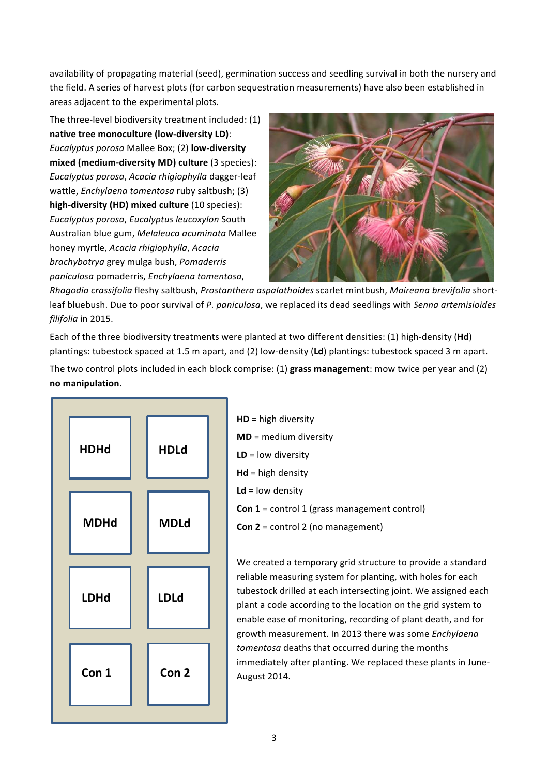availability of propagating material (seed), germination success and seedling survival in both the nursery and the field. A series of harvest plots (for carbon sequestration measurements) have also been established in areas adjacent to the experimental plots.

The three-level biodiversity treatment included:  $(1)$ **native tree monoculture (low-diversity LD)**: *Eucalyptus porosa* Mallee Box; (2) **low-diversity mixed (medium-diversity MD) culture** (3 species): *Eucalyptus porosa*, *Acacia rhigiophylla* dagger-leaf wattle, *Enchylaena tomentosa* ruby saltbush; (3) **high-diversity (HD) mixed culture** (10 species): *Eucalyptus porosa*, *Eucalyptus leucoxylon* South Australian blue gum, Melaleuca acuminata Mallee honey myrtle, *Acacia rhigiophylla*, *Acacia brachybotrya* grey mulga bush, *Pomaderris paniculosa* pomaderris, *Enchylaena tomentosa*, 



*Rhagodia crassifolia* fleshy saltbush, *Prostanthera aspalathoides* scarlet mintbush, *Maireana brevifolia* shortleaf bluebush. Due to poor survival of P. paniculosa, we replaced its dead seedlings with *Senna artemisioides filifolia* in 2015.

Each of the three biodiversity treatments were planted at two different densities: (1) high-density (Hd) plantings: tubestock spaced at 1.5 m apart, and (2) low-density (Ld) plantings: tubestock spaced 3 m apart.

The two control plots included in each block comprise: (1) grass management: mow twice per year and (2) **no manipulation**.



| $HD = high$ diversity                               |
|-----------------------------------------------------|
| $MD = medium$ diversity                             |
| $LD = low$ diversity                                |
| $Md = high density$                                 |
| $Ld = low density$                                  |
| <b>Con 1</b> = control 1 (grass management control) |
| <b>Con 2</b> = control 2 (no management)            |

We created a temporary grid structure to provide a standard reliable measuring system for planting, with holes for each tubestock drilled at each intersecting joint. We assigned each plant a code according to the location on the grid system to enable ease of monitoring, recording of plant death, and for growth measurement. In 2013 there was some *Enchylaena* tomentosa deaths that occurred during the months immediately after planting. We replaced these plants in June-August 2014.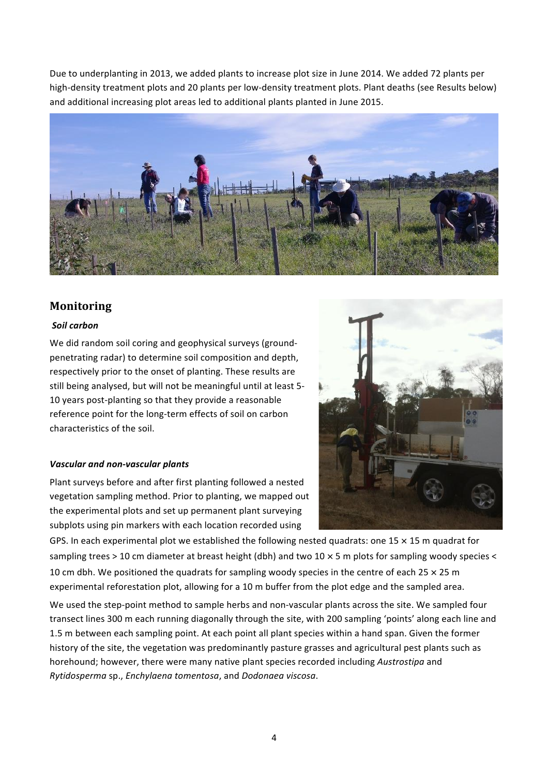Due to underplanting in 2013, we added plants to increase plot size in June 2014. We added 72 plants per high-density treatment plots and 20 plants per low-density treatment plots. Plant deaths (see Results below) and additional increasing plot areas led to additional plants planted in June 2015.



### **Monitoring**

#### *Soil carbon*

We did random soil coring and geophysical surveys (groundpenetrating radar) to determine soil composition and depth, respectively prior to the onset of planting. These results are still being analysed, but will not be meaningful until at least 5-10 years post-planting so that they provide a reasonable reference point for the long-term effects of soil on carbon characteristics of the soil.

#### *Vascular and non-vascular plants*

Plant surveys before and after first planting followed a nested vegetation sampling method. Prior to planting, we mapped out the experimental plots and set up permanent plant surveying subplots using pin markers with each location recorded using



GPS. In each experimental plot we established the following nested quadrats: one 15  $\times$  15 m quadrat for sampling trees > 10 cm diameter at breast height (dbh) and two 10  $\times$  5 m plots for sampling woody species < 10 cm dbh. We positioned the quadrats for sampling woody species in the centre of each 25  $\times$  25 m experimental reforestation plot, allowing for a 10 m buffer from the plot edge and the sampled area.

We used the step-point method to sample herbs and non-vascular plants across the site. We sampled four transect lines 300 m each running diagonally through the site, with 200 sampling 'points' along each line and 1.5 m between each sampling point. At each point all plant species within a hand span. Given the former history of the site, the vegetation was predominantly pasture grasses and agricultural pest plants such as horehound; however, there were many native plant species recorded including *Austrostipa* and *Rytidosperma* sp., *Enchylaena tomentosa*, and *Dodonaea viscosa*.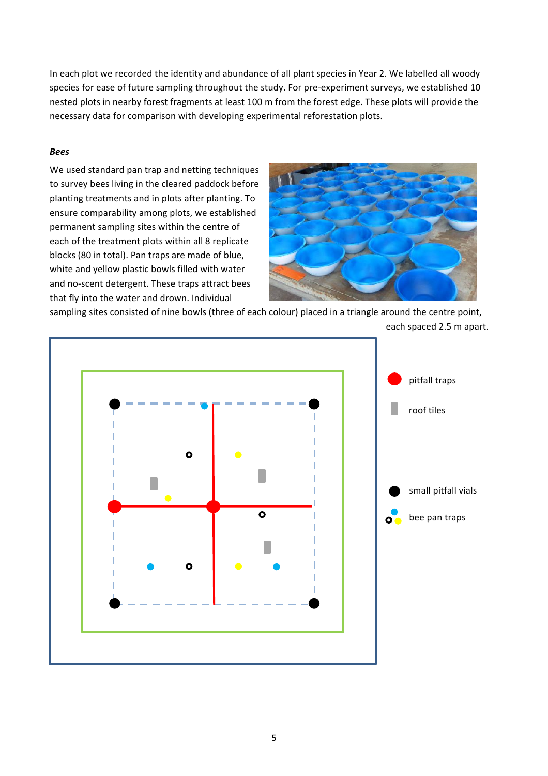In each plot we recorded the identity and abundance of all plant species in Year 2. We labelled all woody species for ease of future sampling throughout the study. For pre-experiment surveys, we established 10 nested plots in nearby forest fragments at least 100 m from the forest edge. These plots will provide the necessary data for comparison with developing experimental reforestation plots.

#### *Bees*

We used standard pan trap and netting techniques to survey bees living in the cleared paddock before planting treatments and in plots after planting. To ensure comparability among plots, we established permanent sampling sites within the centre of each of the treatment plots within all 8 replicate blocks (80 in total). Pan traps are made of blue, white and yellow plastic bowls filled with water and no-scent detergent. These traps attract bees that fly into the water and drown. Individual



sampling sites consisted of nine bowls (three of each colour) placed in a triangle around the centre point,

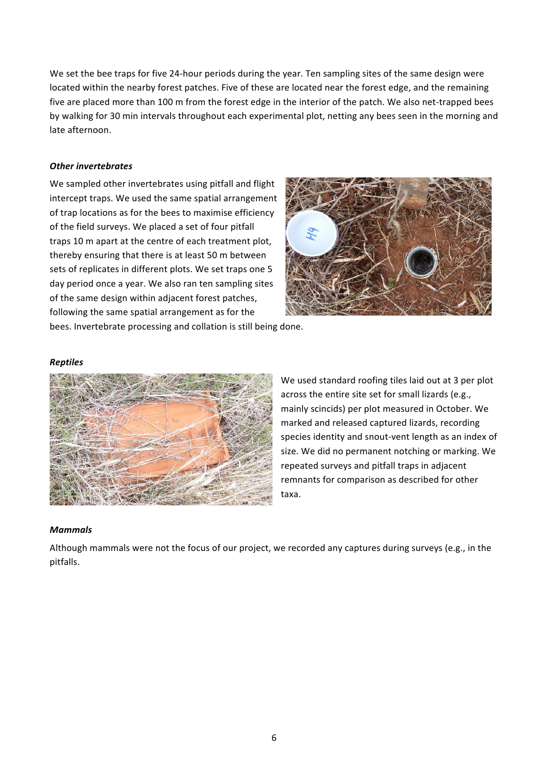We set the bee traps for five 24-hour periods during the year. Ten sampling sites of the same design were located within the nearby forest patches. Five of these are located near the forest edge, and the remaining five are placed more than 100 m from the forest edge in the interior of the patch. We also net-trapped bees by walking for 30 min intervals throughout each experimental plot, netting any bees seen in the morning and late afternoon.

#### *Other invertebrates*

We sampled other invertebrates using pitfall and flight intercept traps. We used the same spatial arrangement of trap locations as for the bees to maximise efficiency of the field surveys. We placed a set of four pitfall traps 10 m apart at the centre of each treatment plot, thereby ensuring that there is at least 50 m between sets of replicates in different plots. We set traps one 5 day period once a year. We also ran ten sampling sites of the same design within adjacent forest patches, following the same spatial arrangement as for the bees. Invertebrate processing and collation is still being done.



#### *Reptiles*



We used standard roofing tiles laid out at 3 per plot across the entire site set for small lizards (e.g., mainly scincids) per plot measured in October. We marked and released captured lizards, recording species identity and snout-vent length as an index of size. We did no permanent notching or marking. We repeated surveys and pitfall traps in adjacent remnants for comparison as described for other taxa. 

#### *Mammals*

Although mammals were not the focus of our project, we recorded any captures during surveys (e.g., in the pitfalls.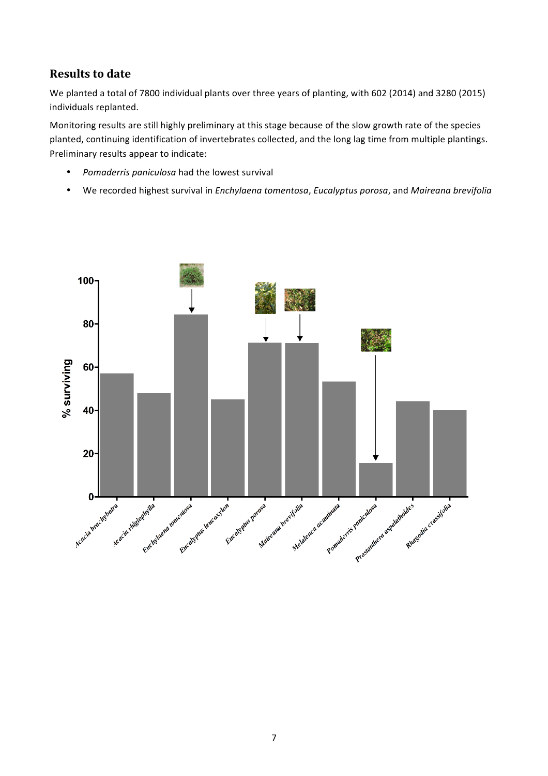# **Results to date**

We planted a total of 7800 individual plants over three years of planting, with 602 (2014) and 3280 (2015) individuals replanted.

Monitoring results are still highly preliminary at this stage because of the slow growth rate of the species planted, continuing identification of invertebrates collected, and the long lag time from multiple plantings. Preliminary results appear to indicate:

- Pomaderris paniculosa had the lowest survival
- We recorded highest survival in *Enchylaena tomentosa*, *Eucalyptus porosa*, and Maireana brevifolia

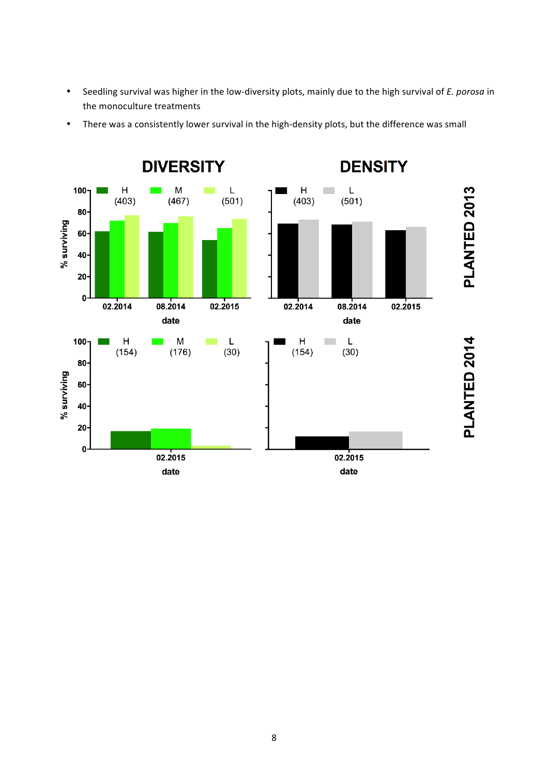• Seedling survival was higher in the low-diversity plots, mainly due to the high survival of *E. porosa* in the monoculture treatments



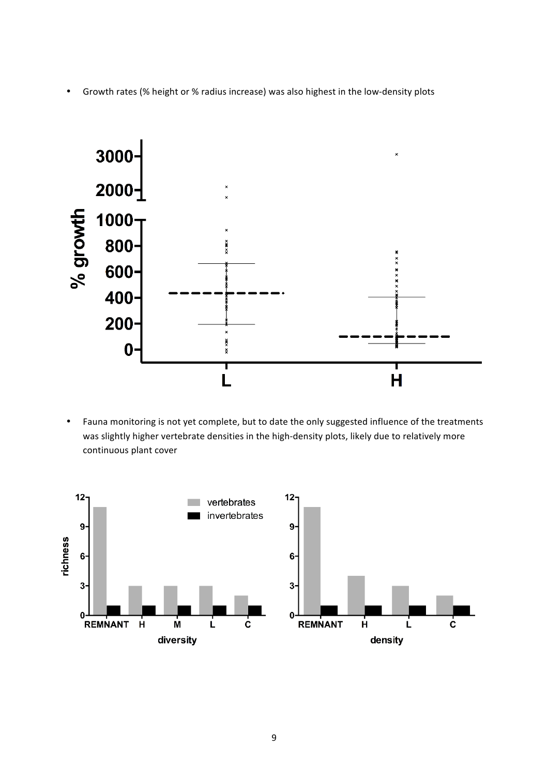• Growth rates (% height or % radius increase) was also highest in the low-density plots



• Fauna monitoring is not yet complete, but to date the only suggested influence of the treatments was slightly higher vertebrate densities in the high-density plots, likely due to relatively more continuous plant cover